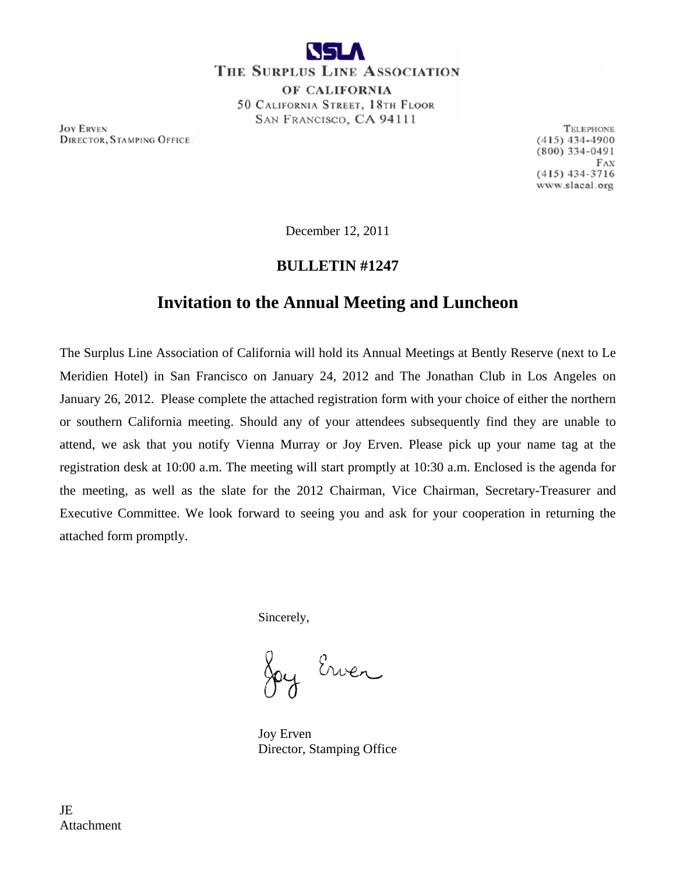

THE SURPLUS LINE ASSOCIATION OF CALIFORNIA 50 CALIFORNIA STREET, 18TH FLOOR SAN FRANCISCO, CA 94111

**JOY ERVEN DIRECTOR, STAMPING OFFICE** 

TELEPHONE  $(415)$  434-4900  $(800)$  334-0491  $FAX$  $(415)$  434-3716 www.slacal.org

December 12, 2011

### **BULLETIN #1247**

## **Invitation to the Annual Meeting and Luncheon**

The Surplus Line Association of California will hold its Annual Meetings at Bently Reserve (next to Le Meridien Hotel) in San Francisco on January 24, 2012 and The Jonathan Club in Los Angeles on January 26, 2012. Please complete the attached registration form with your choice of either the northern or southern California meeting. Should any of your attendees subsequently find they are unable to attend, we ask that you notify Vienna Murray or Joy Erven. Please pick up your name tag at the registration desk at 10:00 a.m. The meeting will start promptly at 10:30 a.m. Enclosed is the agenda for the meeting, as well as the slate for the 2012 Chairman, Vice Chairman, Secretary-Treasurer and Executive Committee. We look forward to seeing you and ask for your cooperation in returning the attached form promptly.

Sincerely,

y Erven

 Joy Erven Director, Stamping Office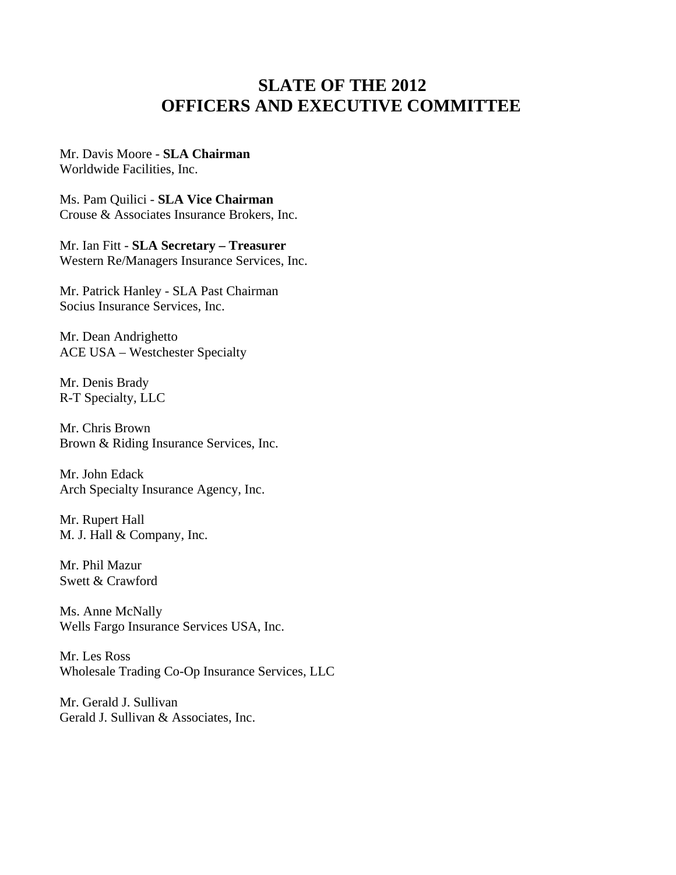## **SLATE OF THE 2012 OFFICERS AND EXECUTIVE COMMITTEE**

#### Mr. Davis Moore - **SLA Chairman** Worldwide Facilities, Inc.

Ms. Pam Quilici - **SLA Vice Chairman** Crouse & Associates Insurance Brokers, Inc.

Mr. Ian Fitt - **SLA Secretary – Treasurer**  Western Re/Managers Insurance Services, Inc.

Mr. Patrick Hanley - SLA Past Chairman Socius Insurance Services, Inc.

Mr. Dean Andrighetto ACE USA – Westchester Specialty

Mr. Denis Brady R-T Specialty, LLC

Mr. Chris Brown Brown & Riding Insurance Services, Inc.

Mr. John Edack Arch Specialty Insurance Agency, Inc.

Mr. Rupert Hall M. J. Hall & Company, Inc.

Mr. Phil Mazur Swett & Crawford

Ms. Anne McNally Wells Fargo Insurance Services USA, Inc.

Mr. Les Ross Wholesale Trading Co-Op Insurance Services, LLC

Mr. Gerald J. Sullivan Gerald J. Sullivan & Associates, Inc.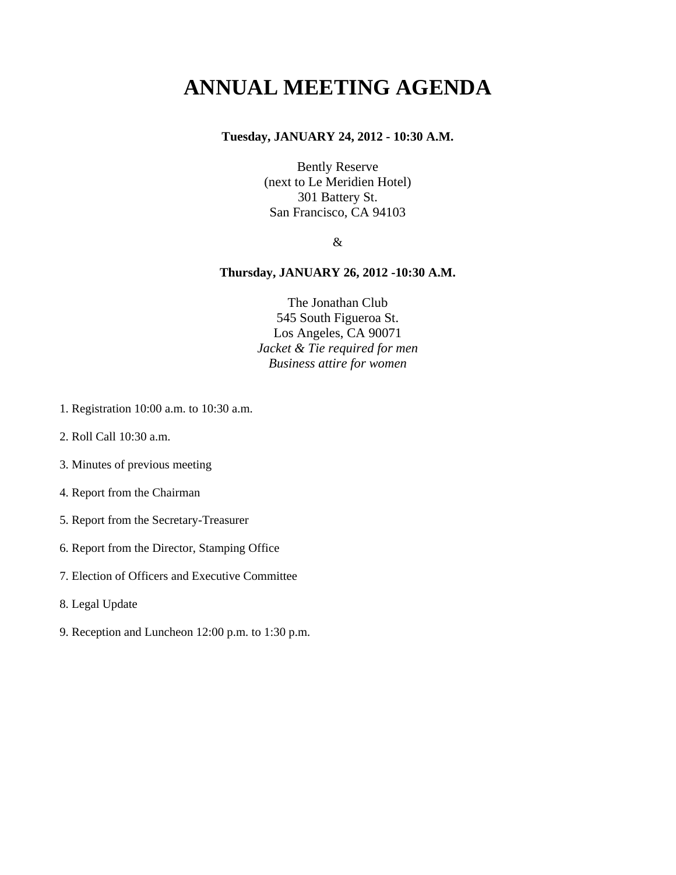## **ANNUAL MEETING AGENDA**

### **Tuesday, JANUARY 24, 2012 - 10:30 A.M.**

Bently Reserve (next to Le Meridien Hotel) 301 Battery St. San Francisco, CA 94103

&

### **Thursday, JANUARY 26, 2012 -10:30 A.M.**

The Jonathan Club 545 South Figueroa St. Los Angeles, CA 90071 *Jacket & Tie required for men Business attire for women* 

- 1. Registration 10:00 a.m. to 10:30 a.m.
- 2. Roll Call 10:30 a.m.
- 3. Minutes of previous meeting
- 4. Report from the Chairman
- 5. Report from the Secretary-Treasurer
- 6. Report from the Director, Stamping Office
- 7. Election of Officers and Executive Committee
- 8. Legal Update
- 9. Reception and Luncheon 12:00 p.m. to 1:30 p.m.